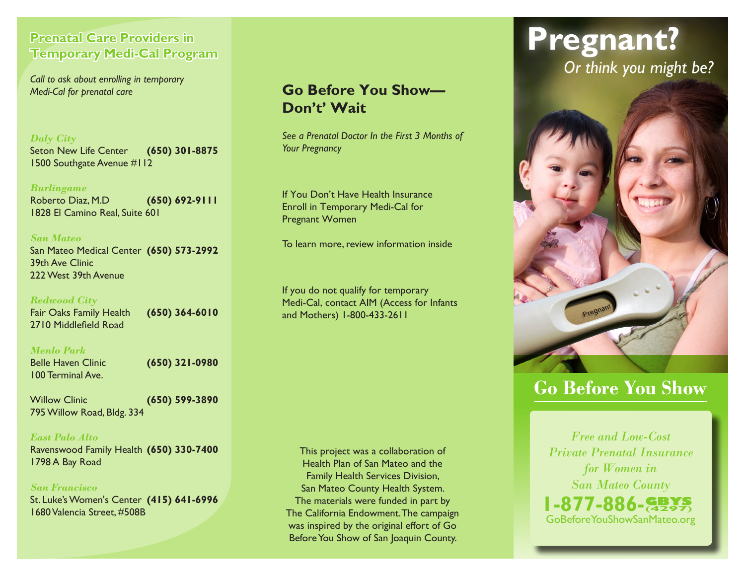### **Prenatal Care Providers in Temporary Medi-Cal Program**

*Call to ask about enrolling in temporary Medi-Cal for prenatal care*

### *Daly City*

Seton New Life Center **(650) 301-8875** 1500 Southgate Avenue #112

#### *Burlingame*

Roberto Diaz, M.D **(650) 692-9111** 1828 El Camino Real, Suite 601

### *San Mateo*

San Mateo Medical Center **(650) 573-2992** 39th Ave Clinic 222 West 39th Avenue

### *Redwood City*

Fair Oaks Family Health **(650) 364-6010** 2710 Middlefield Road

### *Menlo Park*

Belle Haven Clinic **(650) 321-0980** 100 Terminal Ave.

Willow Clinic **(650) 599-3890** 795 Willow Road, Bldg. 334

### *East Palo Alto*

Ravenswood Family Health **(650) 330-7400** 1798 A Bay Road

#### *San Francisco*

St. Luke's Women's Center **(415) 641-6996** 1680 Valencia Street, #508B

### **Go Before You Show— Don't' Wait**

*See a Prenatal Doctor In the First 3 Months of Your Pregnancy*

If You Don't Have Health Insurance Enroll in Temporary Medi-Cal for Pregnant Women

To learn more, review information inside

If you do not qualify for temporary Medi-Cal, contact AIM (Access for Infants and Mothers) 1-800-433-2611

This project was a collaboration of Health Plan of San Mateo and the Family Health Services Division, San Mateo County Health System. The materials were funded in part by The California Endowment. The campaign was inspired by the original effort of Go Before You Show of San Joaquin County.

# **Pregnant?** *Or think you might be?*



## **Go Before You Show**

*Free and Low-Cost Private Prenatal Insurance for Women in San Mateo County*

GoBeforeYouShowSanMateo.org **1-877-886-**(**4297**)